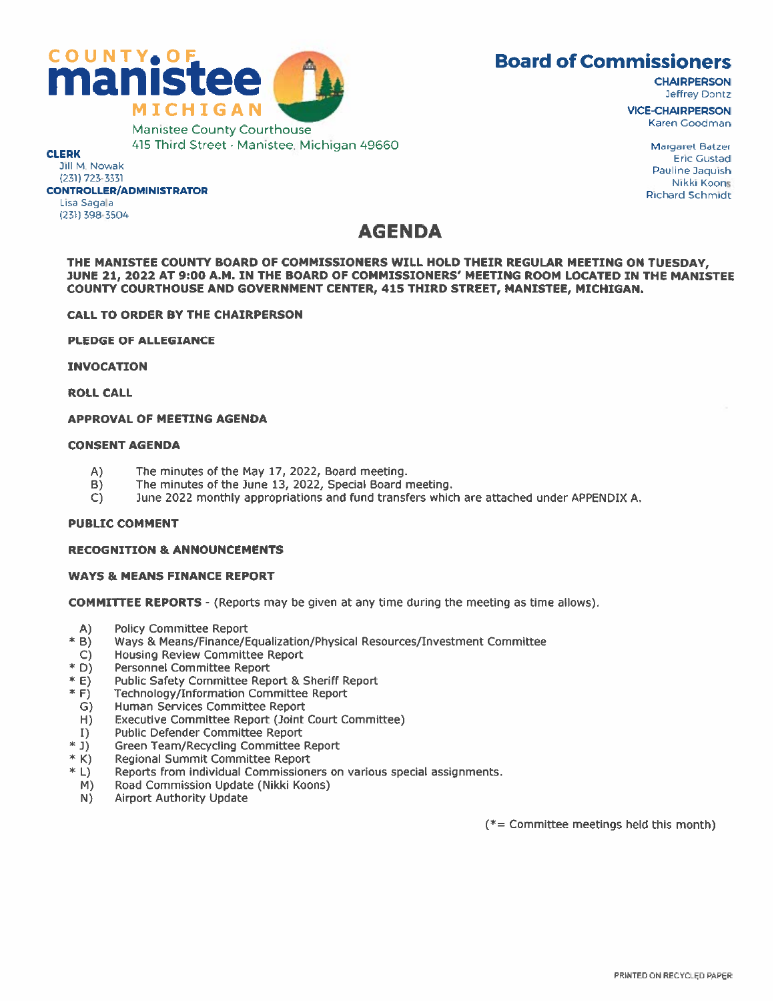

Jeffrey Dontz

415 Third Street • Manistee, Michigan 49660 Margaret Batzer Manistee Michigan 49660 Margaret Batzer Eric Gustad<br>Jill M. Nowak Eric Gustad<br>Pauline Jaquish (231) 723-3331 Nikki Koons المستقل المستقل المستقل المستقل المستقل المستقل المستقل المستقل المستقل المستقل المستقل المستقل المستقل المستقل المستقل المستقل المستقل المستقل المستقل المستقل المستقل المستقل المستقل المستقل المستقل المستقل المستقل المست Lisa Sagala (231) 398-3504

## AGENDA

THE MANISTEE COUNTY BOARD OF COMMISSIONERS WILL HOLD THEIR REGULAR MEETING ON TUESDAY, JUNE 21, 2022 AT 9:00 A.M. IN THE BOARD OF COMMISSIONERS' MEETING ROOM LOCATED IN THE MANISTEE COUNTY COURTHOUSE AND GOVERNMENT CENTER, 415 THIRD STREET, MANISTEE, MICHIGAN.

CALL TO ORDER BY THE CHAIRPERSON

PLEDGE OF ALLEGIANCE

INVOCATION

ROLL CALL

### APPROVAL OF MEETING AGENDA

#### CONSENT AGENDA

- A) The minutes of the May 17, 2022, Board meeting.
- B) The minutes of the June 13, 2022, Special Board meeting.
- C) June 2022 monthly appropriations and fund transfers which are attached under APPENDIX A.

### PUBLIC COMMENT

### RECOGNITION & ANNOUNCEMENTS

### WAYS & MEANS FINANCE REPORT

COMMITTEE REPORTS - (Reports may be given at any time during the meeting as time allows).

- A) Policy Committee Report
- \* B) Ways & Means/Finance/Equalization/Physical Resources/Investment Committee
- C) Housing Review Committee Report \* D) Personnel Committee Report
- 
- \* E) Public Safety Committee Report & Sheriff Report \* F) Technology/Information Committee Report
- 
- G) Human Services Committee Report
- H) Executive Committee Report (Joint Court Committee)
- 
- 
- 
- I) Public Defender Committee Report<br>
\* J) Green Team/Recycling Committee Report<br>
\* K) Regional Summit Committee Report<br>
\* L) Reports from individual Commissioners on various special assignments.
	- M) Road Commission Update (Nikki Koons)
	- N) Airport Authority Update

(\*= Committee meetings held this month)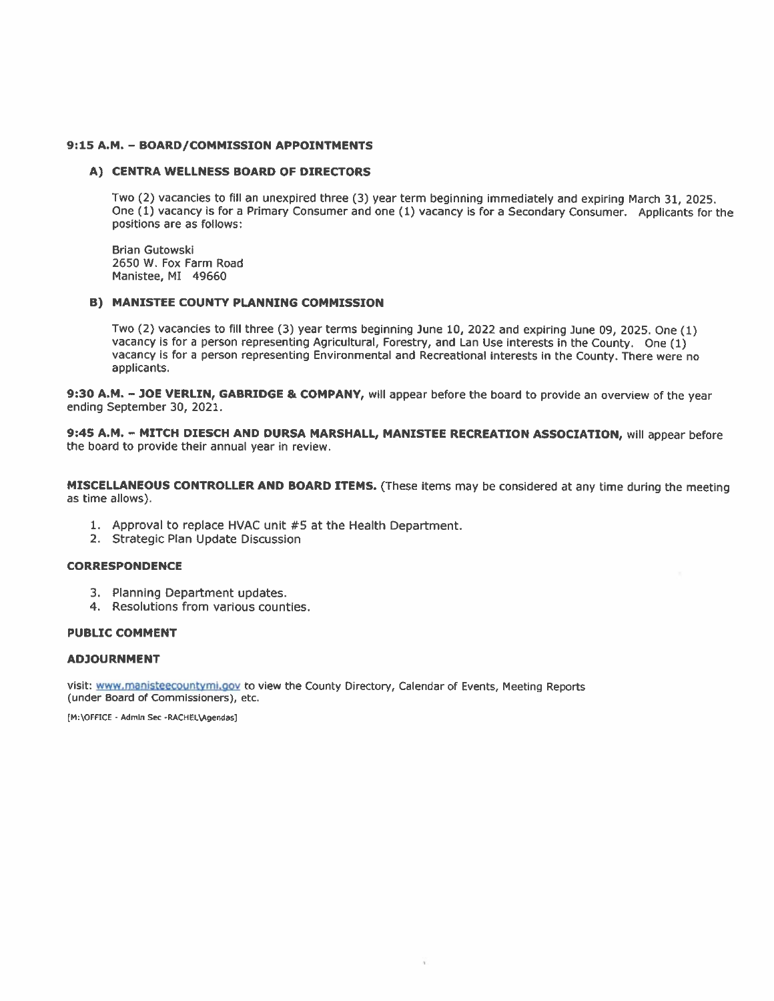#### 9:15 A.M. - BOARD/COMMISSION APPOINTMENTS

#### A) CENTRA WELLNESS BOARD OF DIRECTORS

Two (2) vacancies to fill an unexpired three (3) year term beginning immediately and expiring March 31, 2025. One (1) vacancy is for a Primary Consumer and one (1) vacancy is for a Secondary Consumer. Applicants for the positions are as follows:

Brian Gutowski 2650 W. Fox Farm Road Manistee, MI 49660

#### B) MANISTEE COUNTY PLANNING COMMISSION

Two (2) vacancies to fill three (3) year terms beginning June 10, 2022 and expiring June 09, 2025. One (1) vacancy is for a person representing Agricultural, Forestry, and Lan Use interests in the County. One (1) vacancy is for <sup>a</sup> person representing Environmental and Recreational interests in the County. There were no applicants.

9:30 A.M. - JOE VERLIN, GABRIDGE & COMPANY, will appear before the board to provide an overview of the year ending September 30, 2021.

9:45 A.M. - MITCH DIESCH AND DURSA MARSHALL, MANISTEE RECREATION ASSOCIATION, will appear before the board to provide their annual year in review.

**MISCELLANEOUS CONTROLLER AND BOARD ITEMS.** (These items may be considered at any time during the meeting<br>as time allows).

- 1. Approval to replace HVAC unit #5 at the Health Department.
- 2. Strategic Plan Update Discussion

#### CORRESPONDENCE

- 3. Planning Department updates.
- 4. Resolutions from various counties.

#### PUBLIC COMMENT

#### ADJOURNMENT

visit: www.manisteecountymi.gov to view the County Directory, Calendar of Events, Meeting Reports (under Board of Commissioners), etc.

[M:\OFFICE - Admin Sec -RACHEL\Agendas]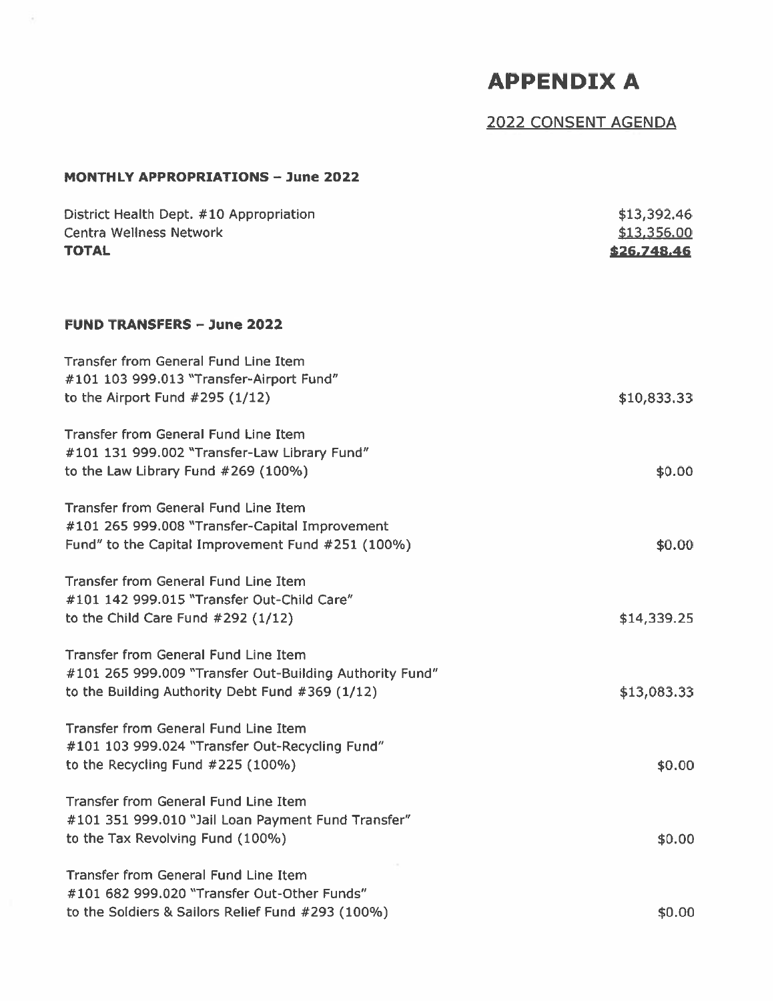# APPENDIX A

## 2022 CONSENT AGENDA

### MONTHLY APPROPRIATIONS - June 2022

÷

| District Health Dept. #10 Appropriation<br><b>Centra Wellness Network</b><br><b>TOTAL</b>                                                          | \$13,392.46<br>\$13,356.00<br>\$26,748.46 |
|----------------------------------------------------------------------------------------------------------------------------------------------------|-------------------------------------------|
| <b>FUND TRANSFERS - June 2022</b>                                                                                                                  |                                           |
| <b>Transfer from General Fund Line Item</b><br>#101 103 999.013 "Transfer-Airport Fund"<br>to the Airport Fund $#295(1/12)$                        | \$10,833.33                               |
| Transfer from General Fund Line Item<br>#101 131 999.002 "Transfer-Law Library Fund"<br>to the Law Library Fund #269 (100%)                        | \$0.00                                    |
| <b>Transfer from General Fund Line Item</b><br>#101 265 999.008 "Transfer-Capital Improvement<br>Fund" to the Capital Improvement Fund #251 (100%) | \$0.00                                    |
| <b>Transfer from General Fund Line Item</b><br>#101 142 999.015 "Transfer Out-Child Care"<br>to the Child Care Fund $#292(1/12)$                   | \$14,339.25                               |
| Transfer from General Fund Line Item<br>#101 265 999.009 "Transfer Out-Building Authority Fund"<br>to the Building Authority Debt Fund #369 (1/12) | \$13,083.33                               |
| Transfer from General Fund Line Item<br>#101 103 999.024 "Transfer Out-Recycling Fund"<br>to the Recycling Fund #225 (100%)                        | \$0.00                                    |
| Transfer from General Fund Line Item<br>#101 351 999.010 "Jail Loan Payment Fund Transfer"<br>to the Tax Revolving Fund (100%)                     | \$0.00                                    |
| <b>Transfer from General Fund Line Item</b><br>#101 682 999.020 "Transfer Out-Other Funds"<br>to the Soldiers & Sailors Relief Fund #293 (100%)    | \$0.00                                    |